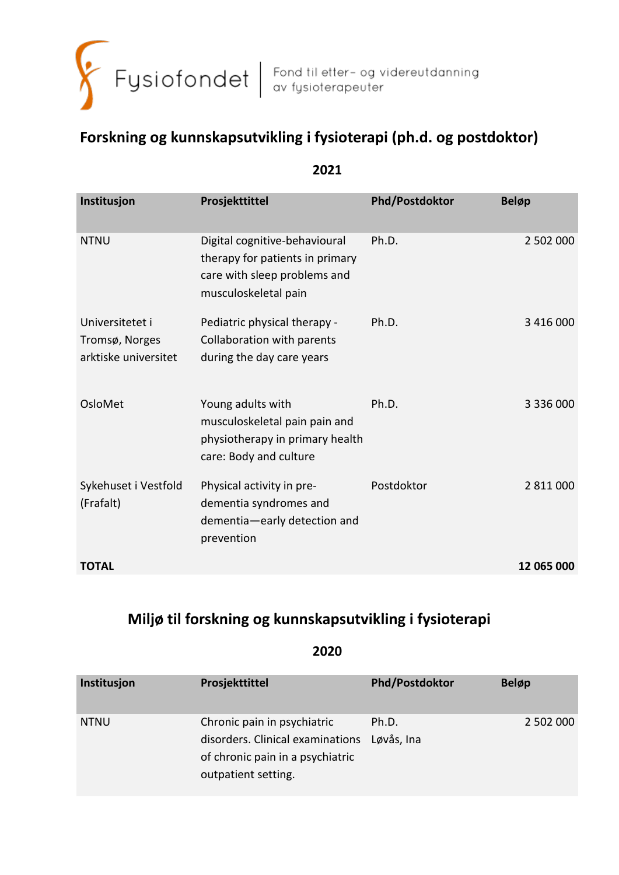

# **Forskning og kunnskapsutvikling i fysioterapi (ph.d. og postdoktor)**

| Institusjon                                               | Prosjekttittel                                                                                                           | Phd/Postdoktor | <b>Beløp</b> |
|-----------------------------------------------------------|--------------------------------------------------------------------------------------------------------------------------|----------------|--------------|
| <b>NTNU</b>                                               | Digital cognitive-behavioural<br>therapy for patients in primary<br>care with sleep problems and<br>musculoskeletal pain | Ph.D.          | 2 502 000    |
| Universitetet i<br>Tromsø, Norges<br>arktiske universitet | Pediatric physical therapy -<br>Collaboration with parents<br>during the day care years                                  | Ph.D.          | 3 416 000    |
| OsloMet                                                   | Young adults with<br>musculoskeletal pain pain and<br>physiotherapy in primary health<br>care: Body and culture          | Ph.D.          | 3 336 000    |
| Sykehuset i Vestfold<br>(Frafalt)                         | Physical activity in pre-<br>dementia syndromes and<br>dementia-early detection and<br>prevention                        | Postdoktor     | 2 811 000    |
| <b>TOTAL</b>                                              |                                                                                                                          |                | 12 065 000   |
|                                                           |                                                                                                                          |                |              |

## **2021**

## **Miljø til forskning og kunnskapsutvikling i fysioterapi**

| Institusjon | Prosjekttittel                                                                                                             | <b>Phd/Postdoktor</b> | <b>Beløp</b> |
|-------------|----------------------------------------------------------------------------------------------------------------------------|-----------------------|--------------|
| <b>NTNU</b> | Chronic pain in psychiatric<br>disorders. Clinical examinations<br>of chronic pain in a psychiatric<br>outpatient setting. | Ph.D.<br>Løvås, Ina   | 2 502 000    |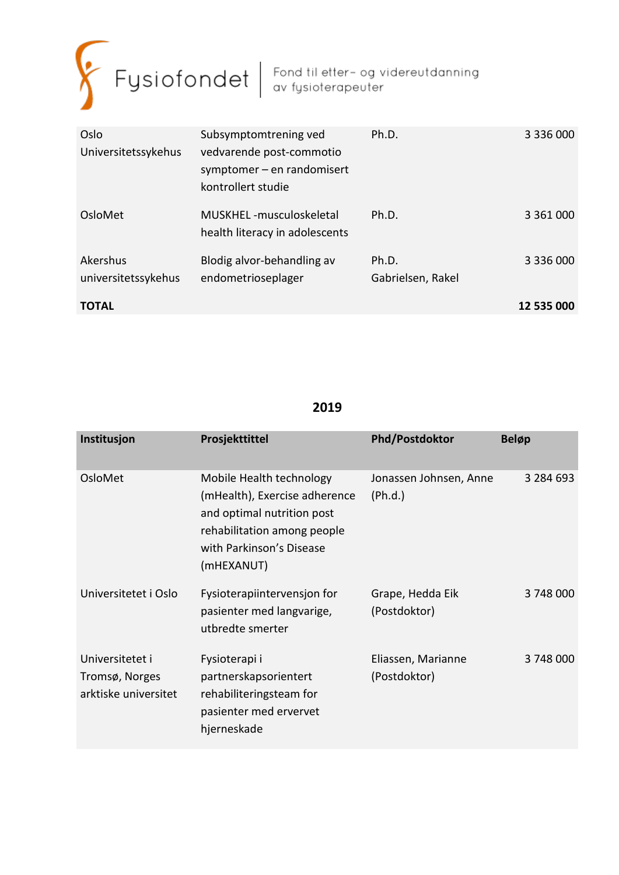

| Oslo<br>Universitetssykehus     | Subsymptomtrening ved<br>vedvarende post-commotio<br>symptomer $-$ en randomisert<br>kontrollert studie | Ph.D.                      | 3 336 000     |
|---------------------------------|---------------------------------------------------------------------------------------------------------|----------------------------|---------------|
| OsloMet                         | MUSKHEL-musculoskeletal<br>health literacy in adolescents                                               | Ph.D.                      | 3 3 6 1 0 0 0 |
| Akershus<br>universitetssykehus | Blodig alvor-behandling av<br>endometrioseplager                                                        | Ph.D.<br>Gabrielsen, Rakel | 3 336 000     |
| <b>TOTAL</b>                    |                                                                                                         |                            | 12 535 000    |

| Institusjon                                               | Prosjekttittel                                                                                                                                                   | <b>Phd/Postdoktor</b>              | <b>Beløp</b> |
|-----------------------------------------------------------|------------------------------------------------------------------------------------------------------------------------------------------------------------------|------------------------------------|--------------|
| OsloMet                                                   | Mobile Health technology<br>(mHealth), Exercise adherence<br>and optimal nutrition post<br>rehabilitation among people<br>with Parkinson's Disease<br>(mHEXANUT) | Jonassen Johnsen, Anne<br>(Ph.d.)  | 3 284 693    |
| Universitetet i Oslo                                      | Fysioterapiintervensjon for<br>pasienter med langvarige,<br>utbredte smerter                                                                                     | Grape, Hedda Eik<br>(Postdoktor)   | 3748000      |
| Universitetet i<br>Tromsø, Norges<br>arktiske universitet | Fysioterapi i<br>partnerskapsorientert<br>rehabiliteringsteam for<br>pasienter med ervervet<br>hjerneskade                                                       | Eliassen, Marianne<br>(Postdoktor) | 3748000      |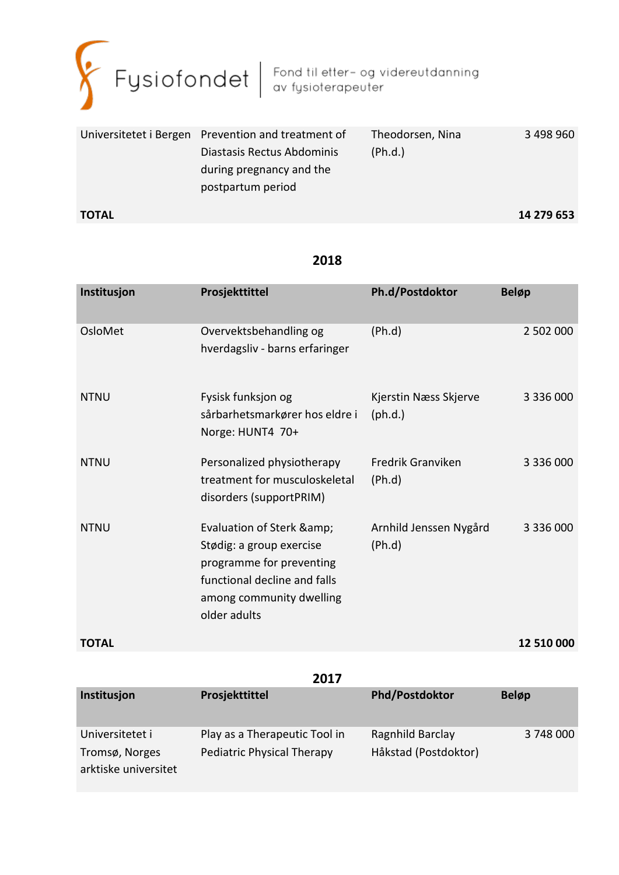

|              | Universitetet i Bergen Prevention and treatment of | Theodorsen, Nina | 3 498 960  |
|--------------|----------------------------------------------------|------------------|------------|
|              | Diastasis Rectus Abdominis                         | (Ph.d.)          |            |
|              | during pregnancy and the                           |                  |            |
|              | postpartum period                                  |                  |            |
| <b>TOTAL</b> |                                                    |                  | 14 279 653 |

| Institusjon  | Prosjekttittel                                                                                                                                                 | Ph.d/Postdoktor                           | <b>Beløp</b>  |
|--------------|----------------------------------------------------------------------------------------------------------------------------------------------------------------|-------------------------------------------|---------------|
| OsloMet      | Overvektsbehandling og<br>hverdagsliv - barns erfaringer                                                                                                       | (Ph.d)                                    | 2 502 000     |
| <b>NTNU</b>  | Fysisk funksjon og<br>sårbarhetsmarkører hos eldre i<br>Norge: HUNT4 70+                                                                                       | Kjerstin Næss Skjerve<br>$(\text{ph.d.})$ | 3 336 000     |
| <b>NTNU</b>  | Personalized physiotherapy<br>treatment for musculoskeletal<br>disorders (supportPRIM)                                                                         | Fredrik Granviken<br>(Ph.d)               | 3 3 3 6 0 0 0 |
| <b>NTNU</b>  | Evaluation of Sterk & amp;<br>Stødig: a group exercise<br>programme for preventing<br>functional decline and falls<br>among community dwelling<br>older adults | Arnhild Jenssen Nygård<br>(Ph.d)          | 3 336 000     |
| <b>TOTAL</b> |                                                                                                                                                                |                                           | 12 510 000    |

| 2017                 |                               |                       |              |  |
|----------------------|-------------------------------|-----------------------|--------------|--|
| Institusjon          | Prosjekttittel                | <b>Phd/Postdoktor</b> | <b>Beløp</b> |  |
|                      |                               |                       |              |  |
| Universitetet i      | Play as a Therapeutic Tool in | Ragnhild Barclay      | 3 748 000    |  |
| Tromsø, Norges       | Pediatric Physical Therapy    | Håkstad (Postdoktor)  |              |  |
| arktiske universitet |                               |                       |              |  |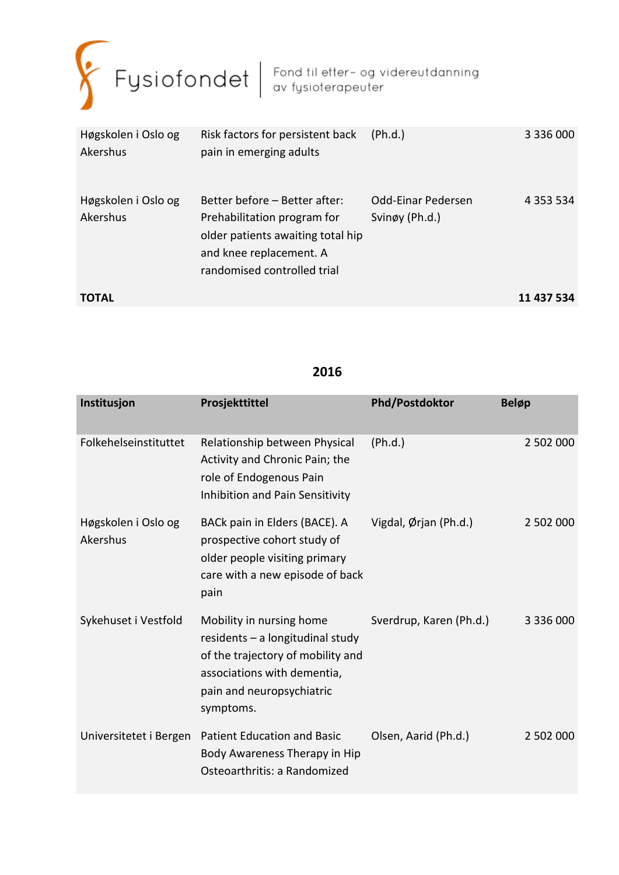

| Høgskolen i Oslo og<br>Akershus | Risk factors for persistent back<br>pain in emerging adults                                                                                                 | (Ph.d.)                              | 3 336 000     |
|---------------------------------|-------------------------------------------------------------------------------------------------------------------------------------------------------------|--------------------------------------|---------------|
| Høgskolen i Oslo og<br>Akershus | Better before – Better after:<br>Prehabilitation program for<br>older patients awaiting total hip<br>and knee replacement. A<br>randomised controlled trial | Odd-Einar Pedersen<br>Svinøy (Ph.d.) | 4 3 5 3 5 3 4 |
| <b>TOTAL</b>                    |                                                                                                                                                             |                                      | 11 437 534    |

| Institusjon                     | Prosjekttittel                                                                                                                                                               | <b>Phd/Postdoktor</b>   | <b>Beløp</b> |
|---------------------------------|------------------------------------------------------------------------------------------------------------------------------------------------------------------------------|-------------------------|--------------|
| Folkehelseinstituttet           | Relationship between Physical<br>Activity and Chronic Pain; the<br>role of Endogenous Pain<br>Inhibition and Pain Sensitivity                                                | (Ph.d.)                 | 2 502 000    |
| Høgskolen i Oslo og<br>Akershus | BACk pain in Elders (BACE). A<br>prospective cohort study of<br>older people visiting primary<br>care with a new episode of back<br>pain                                     | Vigdal, Ørjan (Ph.d.)   | 2 502 000    |
| Sykehuset i Vestfold            | Mobility in nursing home<br>$residents - a longitudinal study$<br>of the trajectory of mobility and<br>associations with dementia,<br>pain and neuropsychiatric<br>symptoms. | Sverdrup, Karen (Ph.d.) | 3 336 000    |
| Universitetet i Bergen          | <b>Patient Education and Basic</b><br>Body Awareness Therapy in Hip<br>Osteoarthritis: a Randomized                                                                          | Olsen, Aarid (Ph.d.)    | 2 502 000    |